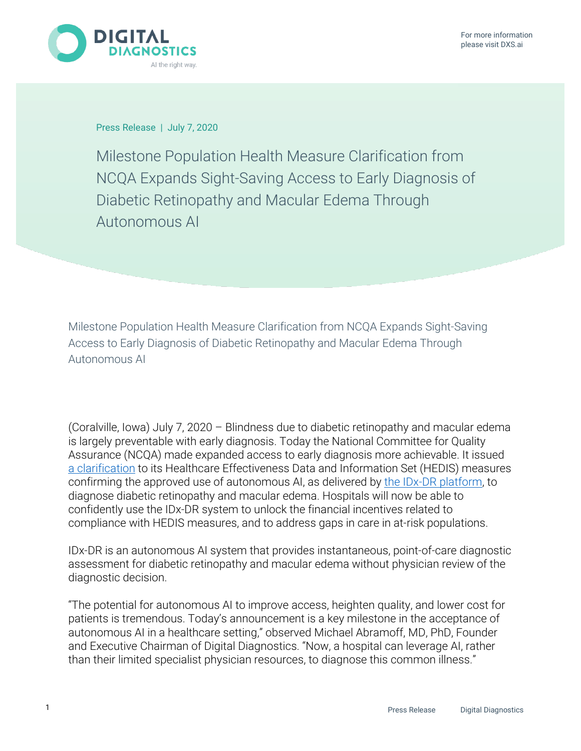

Press Release | July 7, 2020

Milestone Population Health Measure Clarification from NCQA Expands Sight-Saving Access to Early Diagnosis of Diabetic Retinopathy and Macular Edema Through Autonomous AI

Milestone Population Health Measure Clarification from NCQA Expands Sight-Saving Access to Early Diagnosis of Diabetic Retinopathy and Macular Edema Through Autonomous AI

(Coralville, Iowa) July 7, 2020 – Blindness due to diabetic retinopathy and macular edema is largely preventable with early diagnosis. Today the National Committee for Quality Assurance (NCQA) made expanded access to early diagnosis more achievable. It issued [a clarification](https://www.ncqa.org/wp-content/uploads/2020/07/20200701_Summary_Table_of_Measures_Product_Lines_and_Changes.pdf) to its Healthcare Effectiveness Data and Information Set (HEDIS) measures confirming the approved use of autonomous AI, as delivered by [the IDx-DR platform,](https://www.eyediagnosis.net/) to diagnose diabetic retinopathy and macular edema. Hospitals will now be able to confidently use the IDx-DR system to unlock the financial incentives related to compliance with HEDIS measures, and to address gaps in care in at-risk populations.

IDx-DR is an autonomous AI system that provides instantaneous, point-of-care diagnostic assessment for diabetic retinopathy and macular edema without physician review of the diagnostic decision.

"The potential for autonomous AI to improve access, heighten quality, and lower cost for patients is tremendous. Today's announcement is a key milestone in the acceptance of autonomous AI in a healthcare setting," observed Michael Abramoff, MD, PhD, Founder and Executive Chairman of Digital Diagnostics. "Now, a hospital can leverage AI, rather than their limited specialist physician resources, to diagnose this common illness."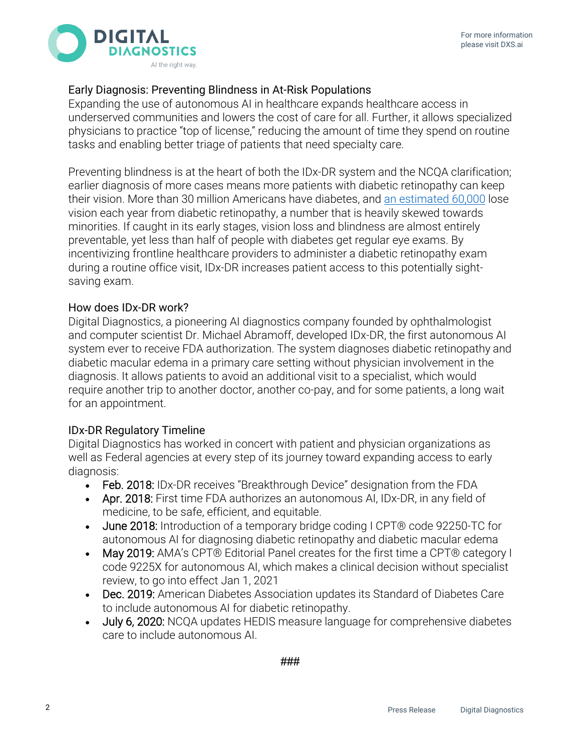

# Early Diagnosis: Preventing Blindness in At-Risk Populations

Expanding the use of autonomous AI in healthcare expands healthcare access in underserved communities and lowers the cost of care for all. Further, it allows specialized physicians to practice "top of license," reducing the amount of time they spend on routine tasks and enabling better triage of patients that need specialty care.

Preventing blindness is at the heart of both the IDx-DR system and the NCQA clarification; earlier diagnosis of more cases means more patients with diabetic retinopathy can keep their vision. More than 30 million Americans have diabetes, and [an estimated 60,000](https://jamanetwork.com/journals/jamaophthalmology/fullarticle/2523780) lose vision each year from diabetic retinopathy, a number that is heavily skewed towards minorities. If caught in its early stages, vision loss and blindness are almost entirely preventable, yet less than half of people with diabetes get regular eye exams. By incentivizing frontline healthcare providers to administer a diabetic retinopathy exam during a routine office visit, IDx-DR increases patient access to this potentially sightsaving exam.

## How does IDx-DR work?

Digital Diagnostics, a pioneering AI diagnostics company founded by ophthalmologist and computer scientist Dr. Michael Abramoff, developed IDx-DR, the first autonomous AI system ever to receive FDA authorization. The system diagnoses diabetic retinopathy and diabetic macular edema in a primary care setting without physician involvement in the diagnosis. It allows patients to avoid an additional visit to a specialist, which would require another trip to another doctor, another co-pay, and for some patients, a long wait for an appointment.

# IDx-DR Regulatory Timeline

Digital Diagnostics has worked in concert with patient and physician organizations as well as Federal agencies at every step of its journey toward expanding access to early diagnosis:

- Feb. 2018: IDx-DR receives "Breakthrough Device" designation from the FDA
- Apr. 2018: First time FDA authorizes an autonomous AI, IDx-DR, in any field of medicine, to be safe, efficient, and equitable.
- June 2018: Introduction of a temporary bridge coding I CPT® code 92250-TC for autonomous AI for diagnosing diabetic retinopathy and diabetic macular edema
- May 2019: AMA's CPT® Editorial Panel creates for the first time a CPT® category I code 9225X for autonomous AI, which makes a clinical decision without specialist review, to go into effect Jan 1, 2021
- Dec. 2019: American Diabetes Association updates its Standard of Diabetes Care to include autonomous AI for diabetic retinopathy.
- July 6, 2020: NCQA updates HEDIS measure language for comprehensive diabetes care to include autonomous AI.

###